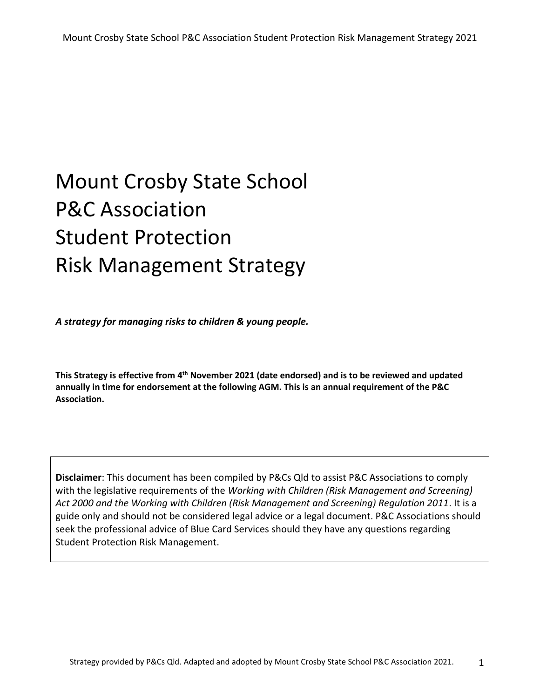*A strategy for managing risks to children & young people.*

This Strategy is effective from 4<sup>th</sup> November 2021 (date endorsed) and is to be reviewed and updated **annually in time for endorsement at the following AGM. This is an annual requirement of the P&C Association.** 

**Disclaimer**: This document has been compiled by P&Cs Qld to assist P&C Associations to comply with the legislative requirements of the *Working with Children (Risk Management and Screening) Act 2000 and the Working with Children (Risk Management and Screening) Regulation 2011*. It is a guide only and should not be considered legal advice or a legal document. P&C Associations should seek the professional advice of Blue Card Services should they have any questions regarding Student Protection Risk Management.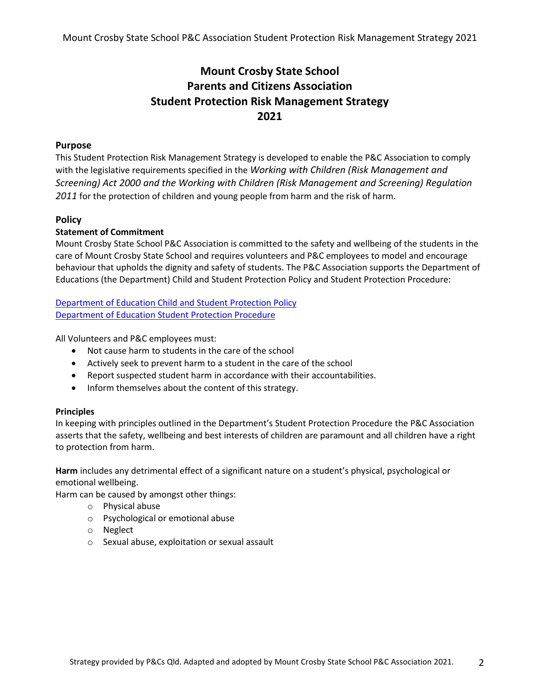### **Mount Crosby State School Parents and Citizens Association Student Protection Risk Management Strategy 2021**

#### **Purpose**

This Student Protection Risk Management Strategy is developed to enable the P&C Association to comply with the legislative requirements specified in the *Working with Children (Risk Management and Screening) Act 2000 and the Working with Children (Risk Management and Screening) Regulation 2011* for the protection of children and young people from harm and the risk of harm.

#### **Policy**

#### **Statement of Commitment**

Mount Crosby State School P&C Association is committed to the safety and wellbeing of the students in the care of Mount Crosby State School and requires volunteers and P&C employees to model and encourage behaviour that upholds the dignity and safety of students. The P&C Association supports the Department of Educations (the Department) Child and Student Protection Policy and Student Protection Procedure:

[Department of Education Child and Student Protection Policy](https://ppr.qed.qld.gov.au/pp/child-and-student-protection-policy) Department of Education [Student Protection Procedure](https://education.qld.gov.au/parents-and-carers/school-information/life-at-school/student-protection)

All Volunteers and P&C employees must:

- Not cause harm to students in the care of the school
- Actively seek to prevent harm to a student in the care of the school
- Report suspected student harm in accordance with their accountabilities.
- Inform themselves about the content of this strategy.

#### **Principles**

In keeping with principles outlined in the Department's Student Protection Procedure the P&C Association asserts that the safety, wellbeing and best interests of children are paramount and all children have a right to protection from harm.

**Harm** includes any detrimental effect of a significant nature on a student's physical, psychological or emotional wellbeing.

Harm can be caused by amongst other things:

- o Physical abuse
- o Psychological or emotional abuse
- o Neglect
- o Sexual abuse, exploitation or sexual assault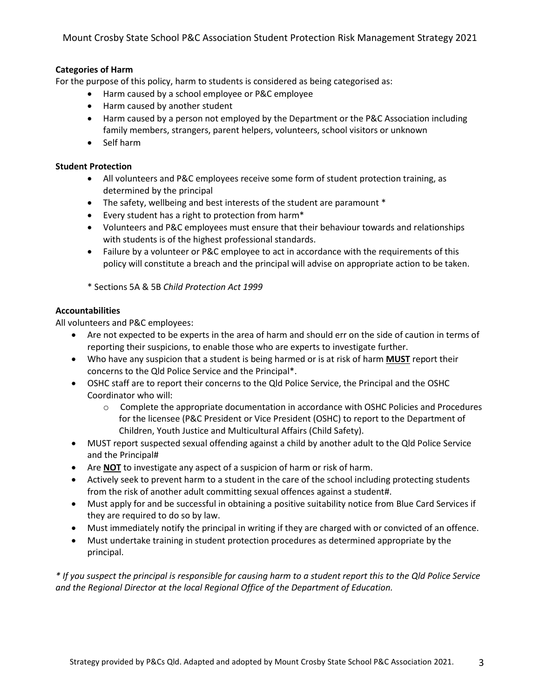#### **Categories of Harm**

For the purpose of this policy, harm to students is considered as being categorised as:

- Harm caused by a school employee or P&C employee
- Harm caused by another student
- Harm caused by a person not employed by the Department or the P&C Association including family members, strangers, parent helpers, volunteers, school visitors or unknown
- Self harm

#### **Student Protection**

- All volunteers and P&C employees receive some form of student protection training, as determined by the principal
- The safety, wellbeing and best interests of the student are paramount \*
- Every student has a right to protection from harm\*
- Volunteers and P&C employees must ensure that their behaviour towards and relationships with students is of the highest professional standards.
- Failure by a volunteer or P&C employee to act in accordance with the requirements of this policy will constitute a breach and the principal will advise on appropriate action to be taken.

\* Sections 5A & 5B *Child Protection Act 1999*

#### **Accountabilities**

All volunteers and P&C employees:

- Are not expected to be experts in the area of harm and should err on the side of caution in terms of reporting their suspicions, to enable those who are experts to investigate further.
- Who have any suspicion that a student is being harmed or is at risk of harm **MUST** report their concerns to the Qld Police Service and the Principal\*.
- OSHC staff are to report their concerns to the Qld Police Service, the Principal and the OSHC Coordinator who will:
	- $\circ$  Complete the appropriate documentation in accordance with OSHC Policies and Procedures for the licensee (P&C President or Vice President (OSHC) to report to the Department of Children, Youth Justice and Multicultural Affairs (Child Safety).
- MUST report suspected sexual offending against a child by another adult to the Qld Police Service and the Principal#
- Are **NOT** to investigate any aspect of a suspicion of harm or risk of harm.
- Actively seek to prevent harm to a student in the care of the school including protecting students from the risk of another adult committing sexual offences against a student#.
- Must apply for and be successful in obtaining a positive suitability notice from Blue Card Services if they are required to do so by law.
- Must immediately notify the principal in writing if they are charged with or convicted of an offence.
- Must undertake training in student protection procedures as determined appropriate by the principal.

*\* If you suspect the principal is responsible for causing harm to a student report this to the Qld Police Service and the Regional Director at the local Regional Office of the Department of Education.*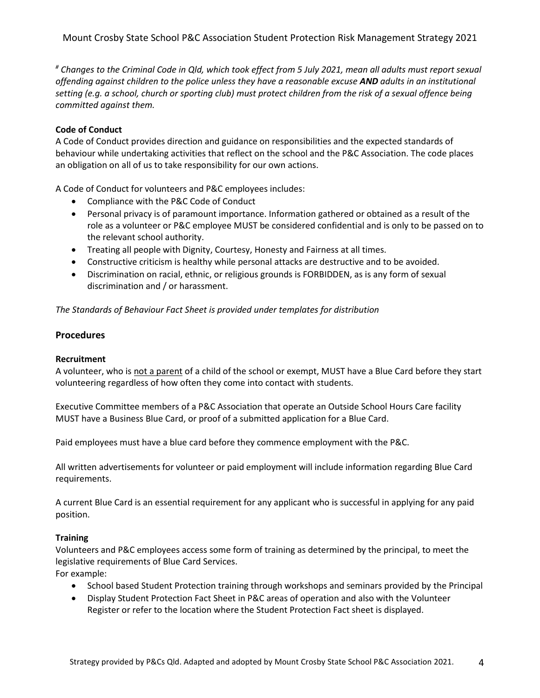*# Changes to the Criminal Code in Qld, which took effect from 5 July 2021, mean all adults must report sexual offending against children to the police unless they have a reasonable excuse AND adults in an institutional setting (e.g. a school, church or sporting club) must protect children from the risk of a sexual offence being committed against them.*

#### **Code of Conduct**

A Code of Conduct provides direction and guidance on responsibilities and the expected standards of behaviour while undertaking activities that reflect on the school and the P&C Association. The code places an obligation on all of us to take responsibility for our own actions.

A Code of Conduct for volunteers and P&C employees includes:

- Compliance with the P&C Code of Conduct
- Personal privacy is of paramount importance. Information gathered or obtained as a result of the role as a volunteer or P&C employee MUST be considered confidential and is only to be passed on to the relevant school authority.
- Treating all people with Dignity, Courtesy, Honesty and Fairness at all times.
- Constructive criticism is healthy while personal attacks are destructive and to be avoided.
- Discrimination on racial, ethnic, or religious grounds is FORBIDDEN, as is any form of sexual discrimination and / or harassment.

*The Standards of Behaviour Fact Sheet is provided under templates for distribution* 

#### **Procedures**

#### **Recruitment**

A volunteer, who is not a parent of a child of the school or exempt, MUST have a Blue Card before they start volunteering regardless of how often they come into contact with students.

Executive Committee members of a P&C Association that operate an Outside School Hours Care facility MUST have a Business Blue Card, or proof of a submitted application for a Blue Card.

Paid employees must have a blue card before they commence employment with the P&C.

All written advertisements for volunteer or paid employment will include information regarding Blue Card requirements.

A current Blue Card is an essential requirement for any applicant who is successful in applying for any paid position.

#### **Training**

Volunteers and P&C employees access some form of training as determined by the principal, to meet the legislative requirements of Blue Card Services.

For example:

- School based Student Protection training through workshops and seminars provided by the Principal
- Display Student Protection Fact Sheet in P&C areas of operation and also with the Volunteer Register or refer to the location where the Student Protection Fact sheet is displayed.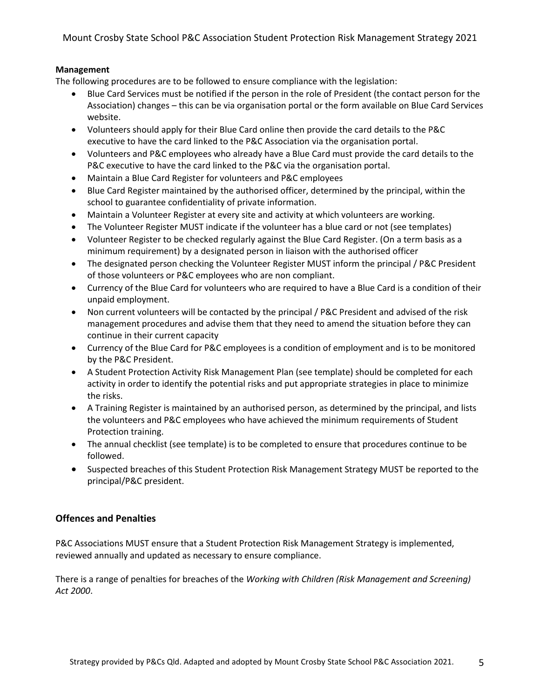#### **Management**

The following procedures are to be followed to ensure compliance with the legislation:

- Blue Card Services must be notified if the person in the role of President (the contact person for the Association) changes – this can be via organisation portal or the form available on Blue Card Services website.
- Volunteers should apply for their Blue Card online then provide the card details to the P&C executive to have the card linked to the P&C Association via the organisation portal.
- Volunteers and P&C employees who already have a Blue Card must provide the card details to the P&C executive to have the card linked to the P&C via the organisation portal.
- Maintain a Blue Card Register for volunteers and P&C employees
- Blue Card Register maintained by the authorised officer, determined by the principal, within the school to guarantee confidentiality of private information.
- Maintain a Volunteer Register at every site and activity at which volunteers are working.
- The Volunteer Register MUST indicate if the volunteer has a blue card or not (see templates)
- Volunteer Register to be checked regularly against the Blue Card Register. (On a term basis as a minimum requirement) by a designated person in liaison with the authorised officer
- The designated person checking the Volunteer Register MUST inform the principal / P&C President of those volunteers or P&C employees who are non compliant.
- Currency of the Blue Card for volunteers who are required to have a Blue Card is a condition of their unpaid employment.
- Non current volunteers will be contacted by the principal / P&C President and advised of the risk management procedures and advise them that they need to amend the situation before they can continue in their current capacity
- Currency of the Blue Card for P&C employees is a condition of employment and is to be monitored by the P&C President.
- A Student Protection Activity Risk Management Plan (see template) should be completed for each activity in order to identify the potential risks and put appropriate strategies in place to minimize the risks.
- A Training Register is maintained by an authorised person, as determined by the principal, and lists the volunteers and P&C employees who have achieved the minimum requirements of Student Protection training.
- The annual checklist (see template) is to be completed to ensure that procedures continue to be followed.
- Suspected breaches of this Student Protection Risk Management Strategy MUST be reported to the principal/P&C president.

#### **Offences and Penalties**

P&C Associations MUST ensure that a Student Protection Risk Management Strategy is implemented, reviewed annually and updated as necessary to ensure compliance.

There is a range of penalties for breaches of the *Working with Children (Risk Management and Screening) Act 2000*.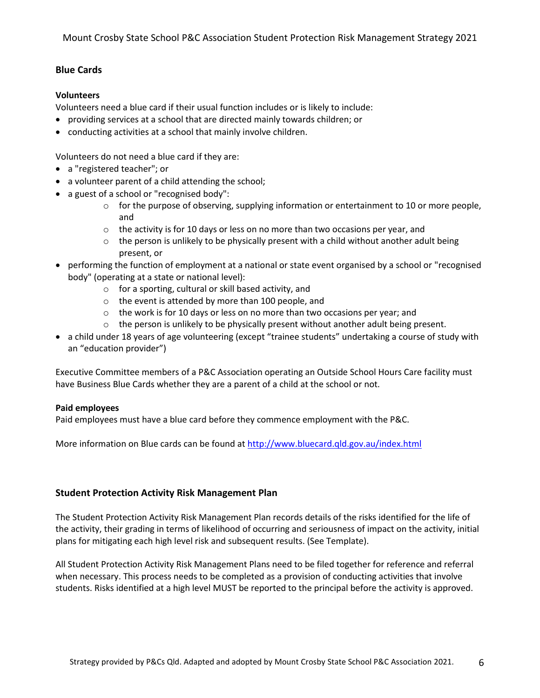#### **Blue Cards**

#### **Volunteers**

Volunteers need a blue card if their usual function includes or is likely to include:

- providing services at a school that are directed mainly towards children; or
- conducting activities at a school that mainly involve children.

Volunteers do not need a blue card if they are:

- a ["registered teacher";](http://www.ccypcg.qld.gov.au/employment/bluecard/definitions.html#teacher) or
- a volunteer parent of a child attending the school;
- a guest of a school o[r "recognised body":](http://www.ccypcg.qld.gov.au/employment/bluecard/definitions.html#recognisedBody)
	- $\circ$  for the purpose of observing, supplying information or entertainment to 10 or more people, and
	- $\circ$  the activity is for 10 days or less on no more than two occasions per year, and
	- $\circ$  the person is unlikely to be physically present with a child without another adult being present, or
- performing the function of employment at a national or state event organised by a school o[r "recognised](http://www.ccypcg.qld.gov.au/employment/bluecard/definitions.html#recognisedBody)  [body"](http://www.ccypcg.qld.gov.au/employment/bluecard/definitions.html#recognisedBody) (operating at a state or national level):
	- o for a sporting, cultural or skill based activity, and
	- o the event is attended by more than 100 people, and
	- o the work is for 10 days or less on no more than two occasions per year; and
	- $\circ$  the person is unlikely to be physically present without another adult being present.
- a child under 18 years of age volunteering (except ["trainee students"](http://www.ccypcg.qld.gov.au/employment/bluecard/definitions.html#student) undertaking a course of study with an ["education provider"](http://www.ccypcg.qld.gov.au/employment/bluecard/definitions.html#edProvider))

Executive Committee members of a P&C Association operating an Outside School Hours Care facility must have Business Blue Cards whether they are a parent of a child at the school or not.

#### **Paid employees**

Paid employees must have a blue card before they commence employment with the P&C.

More information on Blue cards can be found at <http://www.bluecard.qld.gov.au/index.html>

#### **Student Protection Activity Risk Management Plan**

The Student Protection Activity Risk Management Plan records details of the risks identified for the life of the activity, their grading in terms of likelihood of occurring and seriousness of impact on the activity, initial plans for mitigating each high level risk and subsequent results. (See Template).

All Student Protection Activity Risk Management Plans need to be filed together for reference and referral when necessary. This process needs to be completed as a provision of conducting activities that involve students. Risks identified at a high level MUST be reported to the principal before the activity is approved.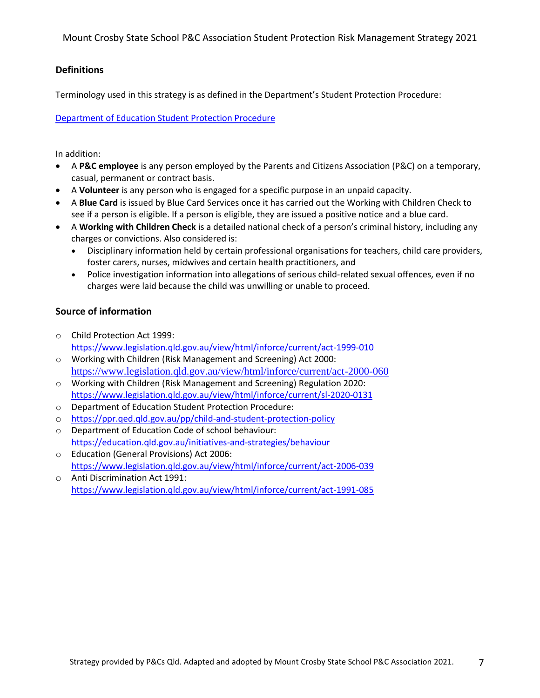#### **Definitions**

Terminology used in this strategy is as defined in the Department's Student Protection Procedure:

[Department of Education Student Protection Procedure](https://education.qld.gov.au/parents-and-carers/school-information/life-at-school/student-protection)

In addition:

- A **P&C employee** is any person employed by the Parents and Citizens Association (P&C) on a temporary, casual, permanent or contract basis.
- A **Volunteer** is any person who is engaged for a specific purpose in an unpaid capacity.
- A **Blue Card** is issued by Blue Card Services once it has carried out the Working with Children Check to see if a person is eligible. If a person is eligible, they are issued a positive notice and a blue card.
- A **Working with Children Check** is a detailed national check of a person's criminal history, including any charges or convictions. Also considered is:
	- Disciplinary information held by certain professional organisations for teachers, child care providers, foster carers, nurses, midwives and certain health practitioners, and
	- Police investigation information into allegations of serious child-related sexual offences, even if no charges were laid because the child was unwilling or unable to proceed.

#### **Source of information**

- o Child Protection Act 1999: <https://www.legislation.qld.gov.au/view/html/inforce/current/act-1999-010>
- o Working with Children (Risk Management and Screening) Act 2000: <https://www.legislation.qld.gov.au/view/html/inforce/current/act-2000-060>
- o Working with Children (Risk Management and Screening) Regulation 2020: <https://www.legislation.qld.gov.au/view/html/inforce/current/sl-2020-0131>
- o Department of Education Student Protection Procedure:
- o <https://ppr.qed.qld.gov.au/pp/child-and-student-protection-policy>
- o Department of Education Code of school behaviour: <https://education.qld.gov.au/initiatives-and-strategies/behaviour>
- o Education (General Provisions) Act 2006: <https://www.legislation.qld.gov.au/view/html/inforce/current/act-2006-039>
- o Anti Discrimination Act 1991: <https://www.legislation.qld.gov.au/view/html/inforce/current/act-1991-085>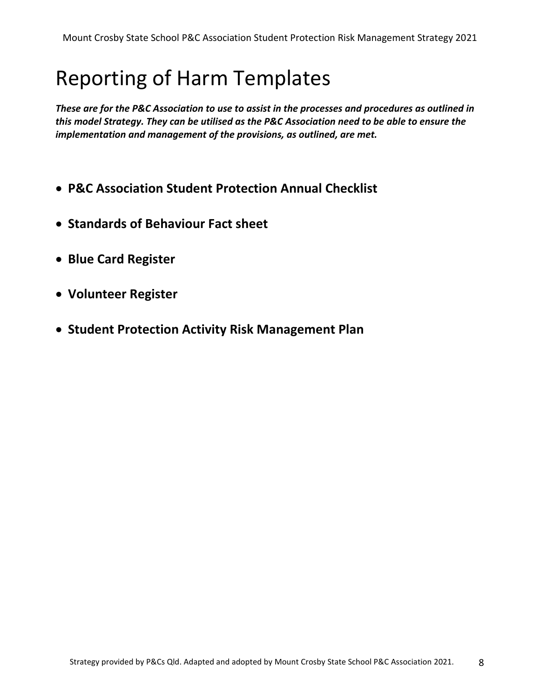# Reporting of Harm Templates

*These are for the P&C Association to use to assist in the processes and procedures as outlined in this model Strategy. They can be utilised as the P&C Association need to be able to ensure the implementation and management of the provisions, as outlined, are met.*

- **P&C Association Student Protection Annual Checklist**
- **Standards of Behaviour Fact sheet**
- **Blue Card Register**
- **Volunteer Register**
- **Student Protection Activity Risk Management Plan**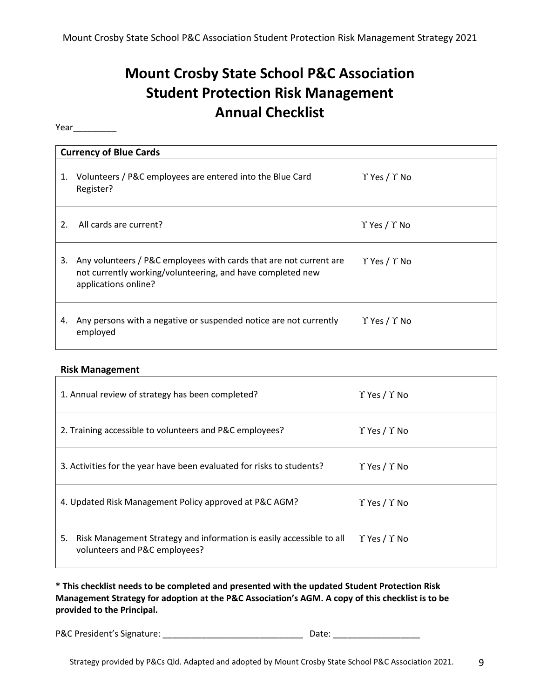# **Mount Crosby State School P&C Association Student Protection Risk Management Annual Checklist**

Year\_\_\_\_\_\_\_\_\_

|    | <b>Currency of Blue Cards</b>                                                                                                                            |                                |  |  |  |  |  |  |  |
|----|----------------------------------------------------------------------------------------------------------------------------------------------------------|--------------------------------|--|--|--|--|--|--|--|
| 1. | Volunteers / P&C employees are entered into the Blue Card<br>Register?                                                                                   | $\Upsilon$ Yes / $\Upsilon$ No |  |  |  |  |  |  |  |
| 2. | All cards are current?                                                                                                                                   | $\Upsilon$ Yes / $\Upsilon$ No |  |  |  |  |  |  |  |
| 3. | Any volunteers / P&C employees with cards that are not current are<br>not currently working/volunteering, and have completed new<br>applications online? | $\Upsilon$ Yes / $\Upsilon$ No |  |  |  |  |  |  |  |
| 4. | Any persons with a negative or suspended notice are not currently<br>employed                                                                            | $\Upsilon$ Yes / $\Upsilon$ No |  |  |  |  |  |  |  |

#### **Risk Management**

| 1. Annual review of strategy has been completed?                                                            | $\Upsilon$ Yes / $\Upsilon$ No |
|-------------------------------------------------------------------------------------------------------------|--------------------------------|
| 2. Training accessible to volunteers and P&C employees?                                                     | $\Upsilon$ Yes / $\Upsilon$ No |
| 3. Activities for the year have been evaluated for risks to students?                                       | $\Upsilon$ Yes / $\Upsilon$ No |
| 4. Updated Risk Management Policy approved at P&C AGM?                                                      | $\Upsilon$ Yes / $\Upsilon$ No |
| Risk Management Strategy and information is easily accessible to all<br>5.<br>volunteers and P&C employees? | $\Upsilon$ Yes / $\Upsilon$ No |

**\* This checklist needs to be completed and presented with the updated Student Protection Risk Management Strategy for adoption at the P&C Association's AGM. A copy of this checklist is to be provided to the Principal.**

P&C President's Signature: \_\_\_\_\_\_\_\_\_\_\_\_\_\_\_\_\_\_\_\_\_\_\_\_\_\_\_\_\_ Date: \_\_\_\_\_\_\_\_\_\_\_\_\_\_\_\_\_\_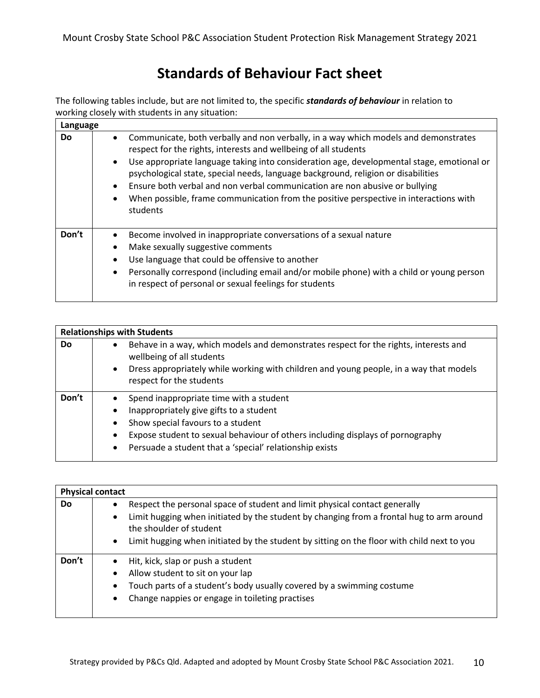## **Standards of Behaviour Fact sheet**

The following tables include, but are not limited to, the specific *standards of behaviour* in relation to working closely with students in any situation:

| Language  |                                                                                                                                                                                                                                                                                                                                                                                                                                                                                                                                                        |
|-----------|--------------------------------------------------------------------------------------------------------------------------------------------------------------------------------------------------------------------------------------------------------------------------------------------------------------------------------------------------------------------------------------------------------------------------------------------------------------------------------------------------------------------------------------------------------|
| <b>Do</b> | Communicate, both verbally and non verbally, in a way which models and demonstrates<br>$\bullet$<br>respect for the rights, interests and wellbeing of all students<br>Use appropriate language taking into consideration age, developmental stage, emotional or<br>$\bullet$<br>psychological state, special needs, language background, religion or disabilities<br>Ensure both verbal and non verbal communication are non abusive or bullying<br>When possible, frame communication from the positive perspective in interactions with<br>students |
| Don't     | Become involved in inappropriate conversations of a sexual nature<br>Make sexually suggestive comments<br>$\bullet$<br>Use language that could be offensive to another<br>Personally correspond (including email and/or mobile phone) with a child or young person<br>$\bullet$<br>in respect of personal or sexual feelings for students                                                                                                                                                                                                              |

|           |                                                                                                                   | <b>Relationships with Students</b>                                                                                 |
|-----------|-------------------------------------------------------------------------------------------------------------------|--------------------------------------------------------------------------------------------------------------------|
| <b>Do</b> | Behave in a way, which models and demonstrates respect for the rights, interests and<br>wellbeing of all students |                                                                                                                    |
|           | $\bullet$                                                                                                         | Dress appropriately while working with children and young people, in a way that models<br>respect for the students |
| Don't     | $\bullet$                                                                                                         | Spend inappropriate time with a student                                                                            |
|           | ٠                                                                                                                 | Inappropriately give gifts to a student                                                                            |
|           | $\bullet$                                                                                                         | Show special favours to a student                                                                                  |
|           | $\bullet$                                                                                                         | Expose student to sexual behaviour of others including displays of pornography                                     |
|           | $\bullet$                                                                                                         | Persuade a student that a 'special' relationship exists                                                            |

|       | <b>Physical contact</b>                                                                 |                                                                                                                     |  |  |  |  |  |  |  |
|-------|-----------------------------------------------------------------------------------------|---------------------------------------------------------------------------------------------------------------------|--|--|--|--|--|--|--|
| Do    | Respect the personal space of student and limit physical contact generally<br>$\bullet$ |                                                                                                                     |  |  |  |  |  |  |  |
|       | $\bullet$                                                                               | Limit hugging when initiated by the student by changing from a frontal hug to arm around<br>the shoulder of student |  |  |  |  |  |  |  |
|       | $\bullet$                                                                               | Limit hugging when initiated by the student by sitting on the floor with child next to you                          |  |  |  |  |  |  |  |
| Don't |                                                                                         | Hit, kick, slap or push a student                                                                                   |  |  |  |  |  |  |  |
|       |                                                                                         | Allow student to sit on your lap                                                                                    |  |  |  |  |  |  |  |
|       | $\bullet$                                                                               | Touch parts of a student's body usually covered by a swimming costume                                               |  |  |  |  |  |  |  |
|       | $\bullet$                                                                               | Change nappies or engage in toileting practises                                                                     |  |  |  |  |  |  |  |
|       |                                                                                         |                                                                                                                     |  |  |  |  |  |  |  |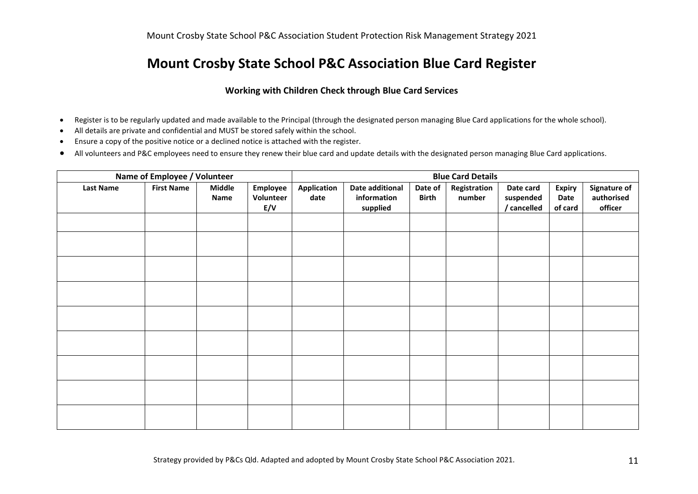### **Mount Crosby State School P&C Association Blue Card Register**

#### **Working with Children Check through Blue Card Services**

- Register is to be regularly updated and made available to the Principal (through the designated person managing Blue Card applications for the whole school).
- All details are private and confidential and MUST be stored safely within the school.
- Ensure a copy of the positive notice or a declined notice is attached with the register.
- All volunteers and P&C employees need to ensure they renew their blue card and update details with the designated person managing Blue Card applications.

| Name of Employee / Volunteer |                   |                       |                              | <b>Blue Card Details</b> |                                            |                         |                        |                                       |                                  |                                       |
|------------------------------|-------------------|-----------------------|------------------------------|--------------------------|--------------------------------------------|-------------------------|------------------------|---------------------------------------|----------------------------------|---------------------------------------|
| <b>Last Name</b>             | <b>First Name</b> | <b>Middle</b><br>Name | Employee<br>Volunteer<br>E/V | Application<br>date      | Date additional<br>information<br>supplied | Date of<br><b>Birth</b> | Registration<br>number | Date card<br>suspended<br>/ cancelled | <b>Expiry</b><br>Date<br>of card | Signature of<br>authorised<br>officer |
|                              |                   |                       |                              |                          |                                            |                         |                        |                                       |                                  |                                       |
|                              |                   |                       |                              |                          |                                            |                         |                        |                                       |                                  |                                       |
|                              |                   |                       |                              |                          |                                            |                         |                        |                                       |                                  |                                       |
|                              |                   |                       |                              |                          |                                            |                         |                        |                                       |                                  |                                       |
|                              |                   |                       |                              |                          |                                            |                         |                        |                                       |                                  |                                       |
|                              |                   |                       |                              |                          |                                            |                         |                        |                                       |                                  |                                       |
|                              |                   |                       |                              |                          |                                            |                         |                        |                                       |                                  |                                       |
|                              |                   |                       |                              |                          |                                            |                         |                        |                                       |                                  |                                       |
|                              |                   |                       |                              |                          |                                            |                         |                        |                                       |                                  |                                       |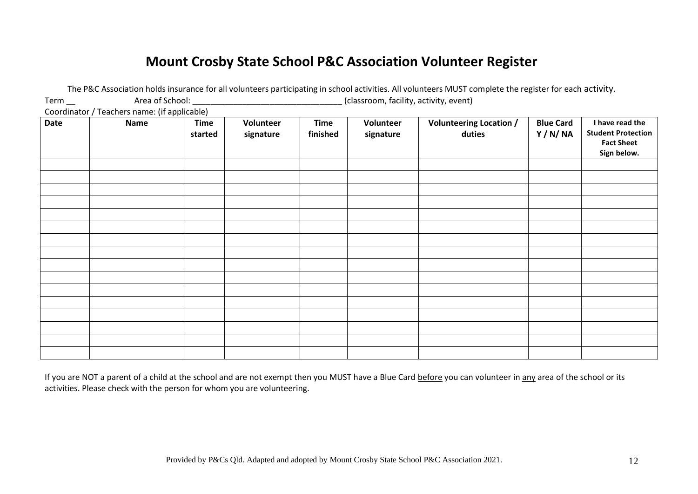## **Mount Crosby State School P&C Association Volunteer Register**

|                                              |                 |                        |                        |                         |                                        | The P&C Association holds insurance for all volunteers participating in school activities. All volunteers MUST complete the register for each activity. |                            |                                                                                  |
|----------------------------------------------|-----------------|------------------------|------------------------|-------------------------|----------------------------------------|---------------------------------------------------------------------------------------------------------------------------------------------------------|----------------------------|----------------------------------------------------------------------------------|
| $Term$ <sub>—</sub>                          | Area of School: |                        |                        |                         | (classroom, facility, activity, event) |                                                                                                                                                         |                            |                                                                                  |
| Coordinator / Teachers name: (if applicable) |                 |                        |                        |                         |                                        |                                                                                                                                                         |                            |                                                                                  |
| Date                                         | <b>Name</b>     | <b>Time</b><br>started | Volunteer<br>signature | <b>Time</b><br>finished | Volunteer<br>signature                 | <b>Volunteering Location /</b><br>duties                                                                                                                | <b>Blue Card</b><br>Y/N/NA | I have read the<br><b>Student Protection</b><br><b>Fact Sheet</b><br>Sign below. |
|                                              |                 |                        |                        |                         |                                        |                                                                                                                                                         |                            |                                                                                  |
|                                              |                 |                        |                        |                         |                                        |                                                                                                                                                         |                            |                                                                                  |
|                                              |                 |                        |                        |                         |                                        |                                                                                                                                                         |                            |                                                                                  |
|                                              |                 |                        |                        |                         |                                        |                                                                                                                                                         |                            |                                                                                  |
|                                              |                 |                        |                        |                         |                                        |                                                                                                                                                         |                            |                                                                                  |
|                                              |                 |                        |                        |                         |                                        |                                                                                                                                                         |                            |                                                                                  |
|                                              |                 |                        |                        |                         |                                        |                                                                                                                                                         |                            |                                                                                  |
|                                              |                 |                        |                        |                         |                                        |                                                                                                                                                         |                            |                                                                                  |
|                                              |                 |                        |                        |                         |                                        |                                                                                                                                                         |                            |                                                                                  |
|                                              |                 |                        |                        |                         |                                        |                                                                                                                                                         |                            |                                                                                  |
|                                              |                 |                        |                        |                         |                                        |                                                                                                                                                         |                            |                                                                                  |
|                                              |                 |                        |                        |                         |                                        |                                                                                                                                                         |                            |                                                                                  |
|                                              |                 |                        |                        |                         |                                        |                                                                                                                                                         |                            |                                                                                  |
|                                              |                 |                        |                        |                         |                                        |                                                                                                                                                         |                            |                                                                                  |
|                                              |                 |                        |                        |                         |                                        |                                                                                                                                                         |                            |                                                                                  |
|                                              |                 |                        |                        |                         |                                        |                                                                                                                                                         |                            |                                                                                  |

If you are NOT a parent of a child at the school and are not exempt then you MUST have a Blue Card before you can volunteer in any area of the school or its activities. Please check with the person for whom you are volunteering.